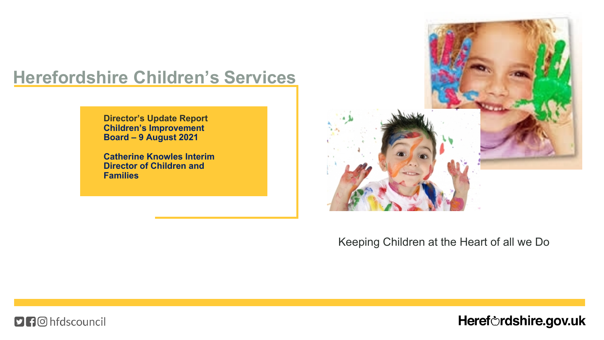### **Herefordshire Children's Services**

**Director's Update Report Children's Improvement Board – 9 August 2021**

**Catherine Knowles Interim Director of Children and Families**



#### Keeping Children at the Heart of all we Do

**DH**O hfdscouncil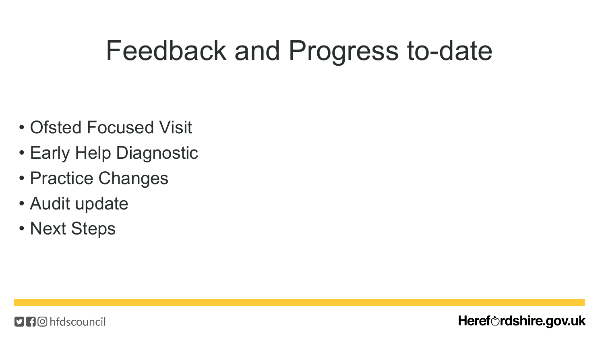## Feedback and Progress to-date

- Ofsted Focused Visit
- Early Help Diagnostic
- Practice Changes
- Audit update
- Next Steps

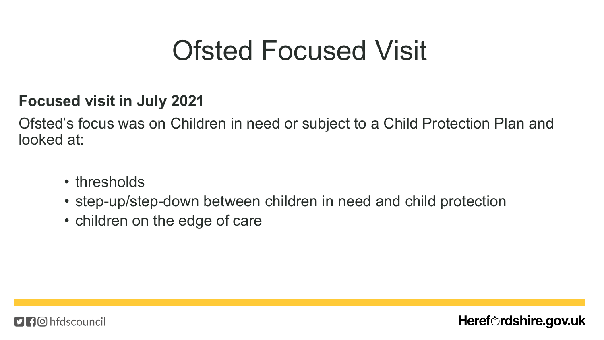## Ofsted Focused Visit

### **Focused visit in July 2021**

Ofsted's focus was on Children in need or subject to a Child Protection Plan and looked at:

- thresholds
- step-up/step-down between children in need and child protection

Heref $\circ$ rdshire.gov.uk

• children on the edge of care

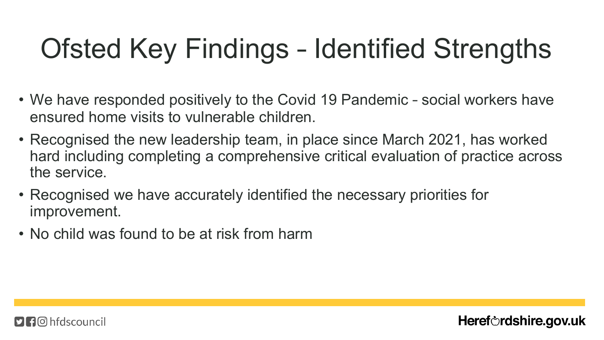# Ofsted Key Findings – Identified Strengths

- We have responded positively to the Covid 19 Pandemic social workers have ensured home visits to vulnerable children.
- Recognised the new leadership team, in place since March 2021, has worked hard including completing a comprehensive critical evaluation of practice across the service.

- Recognised we have accurately identified the necessary priorities for improvement.
- No child was found to be at risk from harm

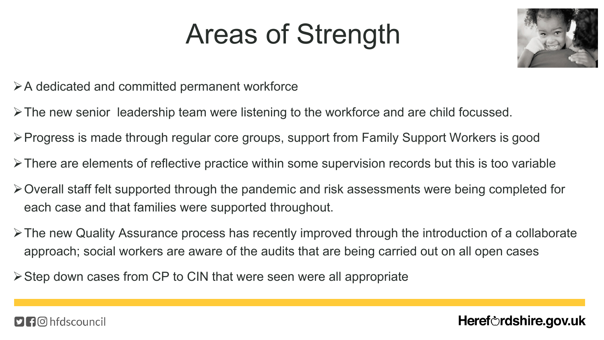## Areas of Strength



- $\triangleright$  A dedicated and committed permanent workforce
- $\triangleright$  The new senior leadership team were listening to the workforce and are child focussed.
- ØProgress is made through regular core groups, support from Family Support Workers is good
- $\triangleright$  There are elements of reflective practice within some supervision records but this is too variable
- $\triangleright$  Overall staff felt supported through the pandemic and risk assessments were being completed for each case and that families were supported throughout.
- $\triangleright$  The new Quality Assurance process has recently improved through the introduction of a collaborate approach; social workers are aware of the audits that are being carried out on all open cases
- $\triangleright$  Step down cases from CP to CIN that were seen were all appropriate

####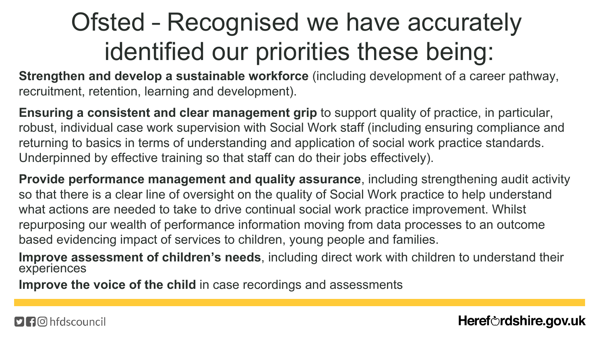## Ofsted – Recognised we have accurately identified our priorities these being:

**Strengthen and develop a sustainable workforce** (including development of a career pathway, recruitment, retention, learning and development).

**Ensuring a consistent and clear management grip** to support quality of practice, in particular, robust, individual case work supervision with Social Work staff (including ensuring compliance and returning to basics in terms of understanding and application of social work practice standards. Underpinned by effective training so that staff can do their jobs effectively).

**Provide performance management and quality assurance**, including strengthening audit activity so that there is a clear line of oversight on the quality of Social Work practice to help understand what actions are needed to take to drive continual social work practice improvement. Whilst repurposing our wealth of performance information moving from data processes to an outcome based evidencing impact of services to children, young people and families.

**Improve assessment of children's needs**, including direct work with children to understand their experiences

**Improve the voice of the child** in case recordings and assessments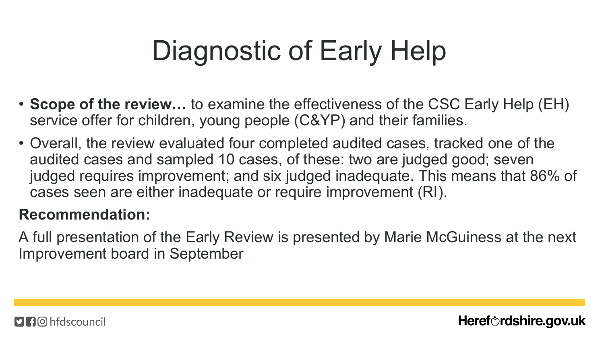# Diagnostic of Early Help

- **Scope of the review…** to examine the effectiveness of the CSC Early Help (EH) service offer for children, young people (C&YP) and their families.
- Overall, the review evaluated four completed audited cases, tracked one of the audited cases and sampled 10 cases, of these: two are judged good; seven judged requires improvement; and six judged inadequate. This means that 86% of cases seen are either inadequate or require improvement (RI).

### **Recommendation:**

A full presentation of the Early Review is presented by Marie McGuiness at the next Improvement board in September

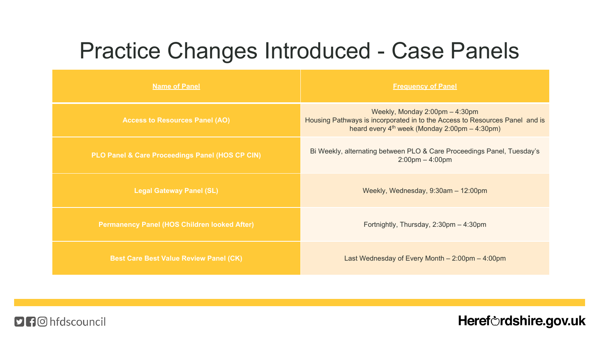### Practice Changes Introduced - Case Panels

| <b>Name of Panel</b>                                | <b>Frequency of Panel</b>                                                                                                                                          |
|-----------------------------------------------------|--------------------------------------------------------------------------------------------------------------------------------------------------------------------|
| <b>Access to Resources Panel (AO)</b>               | Weekly, Monday 2:00pm - 4:30pm<br>Housing Pathways is incorporated in to the Access to Resources Panel and is<br>heard every $4th$ week (Monday 2:00pm $-$ 4:30pm) |
| PLO Panel & Care Proceedings Panel (HOS CP CIN)     | Bi Weekly, alternating between PLO & Care Proceedings Panel, Tuesday's<br>$2:00 \text{pm} - 4:00 \text{pm}$                                                        |
| <b>Legal Gateway Panel (SL)</b>                     | Weekly, Wednesday, 9:30am - 12:00pm                                                                                                                                |
| <b>Permanency Panel (HOS Children looked After)</b> | Fortnightly, Thursday, 2:30pm - 4:30pm                                                                                                                             |
| <b>Best Care Best Value Review Panel (CK)</b>       | Last Wednesday of Every Month $-2:00 \text{pm} - 4:00 \text{pm}$                                                                                                   |

**DA**<sup>O</sup> hfdscouncil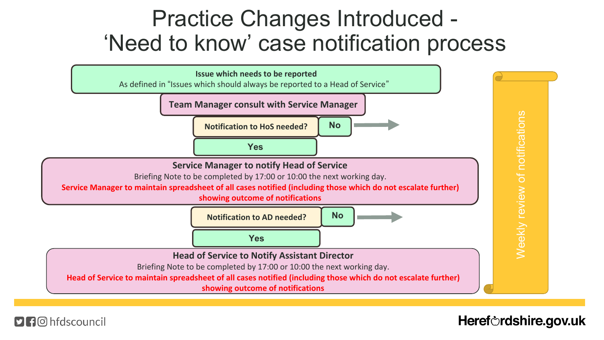### Practice Changes Introduced - 'Need to know' case notification process



Heref $\circ$ rdshire.gov.uk

####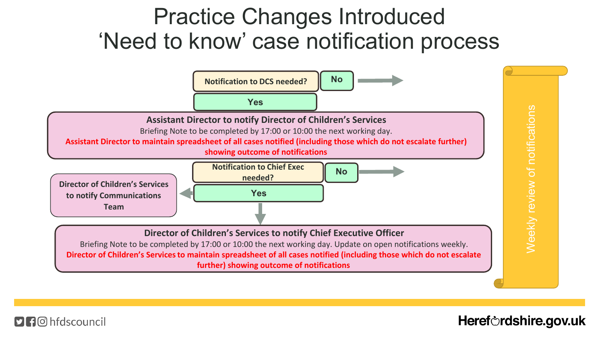### Practice Changes Introduced 'Need to know' case notification process



Heref $\circ$ rdshire.gov.uk

####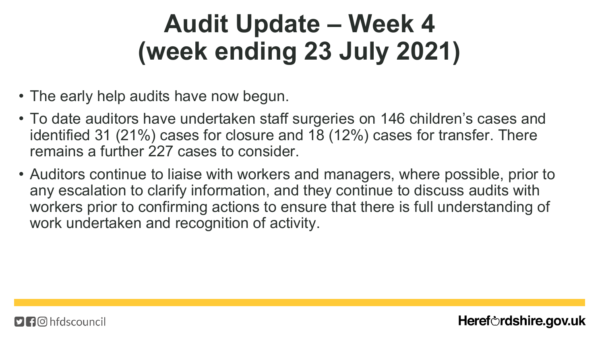## **Audit Update – Week 4 (week ending 23 July 2021)**

- The early help audits have now begun.
- To date auditors have undertaken staff surgeries on 146 children's cases and identified 31 (21%) cases for closure and 18 (12%) cases for transfer. There remains a further 227 cases to consider.
- Auditors continue to liaise with workers and managers, where possible, prior to any escalation to clarify information, and they continue to discuss audits with workers prior to confirming actions to ensure that there is full understanding of work undertaken and recognition of activity.

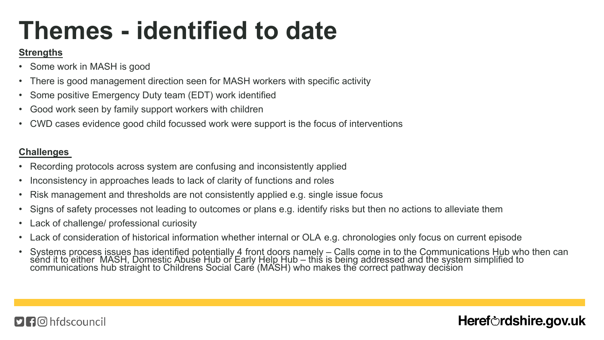## **Themes - identified to date**

#### **Strengths**

- Some work in MASH is good
- There is good management direction seen for MASH workers with specific activity
- Some positive Emergency Duty team (EDT) work identified
- Good work seen by family support workers with children
- CWD cases evidence good child focussed work were support is the focus of interventions

#### **Challenges**

- Recording protocols across system are confusing and inconsistently applied
- Inconsistency in approaches leads to lack of clarity of functions and roles
- Risk management and thresholds are not consistently applied e.g. single issue focus
- Signs of safety processes not leading to outcomes or plans e.g. identify risks but then no actions to alleviate them
- Lack of challenge/ professional curiosity
- Lack of consideration of historical information whether internal or OLA e.g. chronologies only focus on current episode
- Systems process issues has identified potentially 4 front doors namely Calls come in to the Communications Hub who then can send it to either MASH, Domestic Abuse Hub or Early Help Hub – this is being addressed and the system simplified to communications hub straight to Childrens Social Care (MASH) who makes the correct pathway decision

#### **f** © hfdscouncil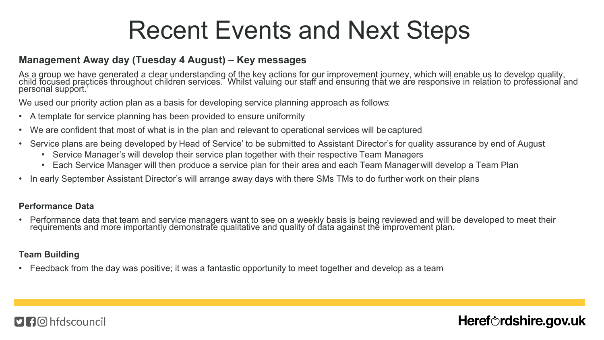### Recent Events and Next Steps

#### **Management Away day (Tuesday 4 August) – Key messages**

As a group we have generated a clear understanding of the key actions for our improvement journey, which will enable us to develop quality, child focused practices throughout children services. Whilst valuing our staff and ensuring that we are responsive in relation to professional and personal support.'

We used our priority action plan as a basis for developing service planning approach as follows:

- A template for service planning has been provided to ensure uniformity
- We are confident that most of what is in the plan and relevant to operational services will be captured
- Service plans are being developed by Head of Service' to be submitted to Assistant Director's for quality assurance by end of August
	- Service Manager's will develop their service plan together with their respective Team Managers
	- Each Service Manager will then produce a service plan for their area and each Team Manager will develop a Team Plan
- In early September Assistant Director's will arrange away days with there SMs TMs to do further work on their plans

#### **Performance Data**

• Performance data that team and service managers want to see on a weekly basis is being reviewed and will be developed to meet their requirements and more importantly demonstrate qualitative and quality of data against the improvement plan.

Heref $\circ$ rdshire.gov.uk

#### **Team Building**

• Feedback from the day was positive; it was a fantastic opportunity to meet together and develop as a team

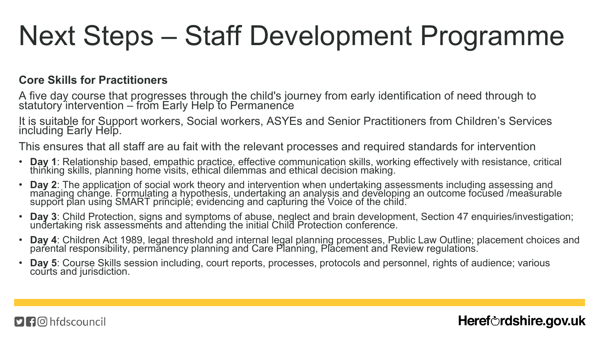## Next Steps – Staff Development Programme

#### **Core Skills for Practitioners**

A five day course that progresses through the child's journey from early identification of need through to statutory intervention – from Early Help to Permanence

It is suitable for Support workers, Social workers, ASYEs and Senior Practitioners from Children's Services including Early Help.

This ensures that all staff are au fait with the relevant processes and required standards for intervention

- **Day 1**: Relationship based, empathic practice, effective communication skills, working effectively with resistance, critical thinking skills, planning home visits, ethical dilemmas and ethical decision making.
- **Day 2**: The application of social work theory and intervention when undertaking assessments including assessing and managing change. Formulating a hypothesis, undertaking an analysis and developing an outcome focused /measurable support plan using SMART principle; evidencing and capturing the Voice of the child.
- Day 3: Child Protection, signs and symptoms of abuse, neglect and brain development, Section 47 enquiries/investigation; undertaking risk assessments and attending the initial Child Protection conference.
- **Day 4**: Children Act 1989, legal threshold and internal legal planning processes, Public Law Outline; placement choices and parental responsibility, permanency planning and Care Planning, Placement and Review regulations.

Heref $\circ$ rdshire.gov.uk

**Day 5**: Course Skills session including, court reports, processes, protocols and personnel, rights of audience; various courts and jurisdiction.

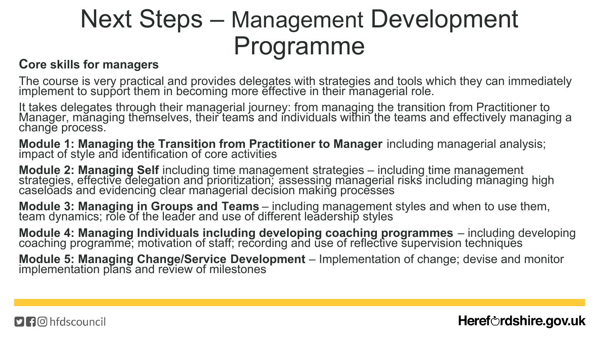## Next Steps – Management Development Programme

#### **Core skills for managers**

The course is very practical and provides delegates with strategies and tools which they can immediately implement to support them in becoming more effective in their managerial role.

It takes delegates through their managerial journey: from managing the transition from Practitioner to Manager, mănaging themselves, their teams and individuals within the teams and effectively managing a change process.

**Module 1: Managing the Transition from Practitioner to Manager** including managerial analysis; impact of style and identification of core activities

**Module 2: Managing Self** including time management strategies – including time management strategies, effective delegation and prioritization; assessing managerial risks including managing high caseloads and evidencing clear managerial decision making processes

**Module 3: Managing in Groups and Teams** – including management styles and when to use them, team dynamics; role of the leader and use of different leadership styles

**Module 4: Managing Individuals including developing coaching programmes** – including developing coaching programme; motivation of staff; recording and use of reflective supervision techniques

**Module 5: Managing Change/Service Development** – Implementation of change; devise and monitor implementation plans and review of milestones

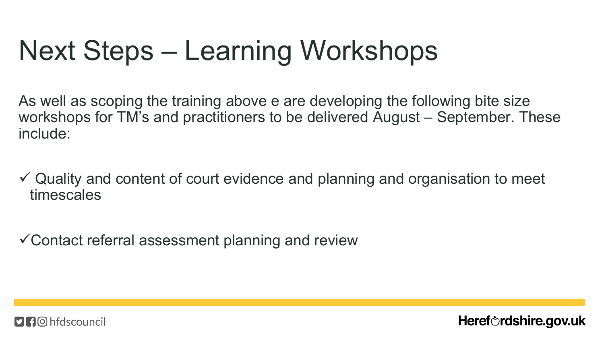# Next Steps – Learning Workshops

As well as scoping the training above e are developing the following bite size workshops for TM's and practitioners to be delivered August – September. These include:

- $\checkmark$  Quality and content of court evidence and planning and organisation to meet timescales
- $\checkmark$  Contact referral assessment planning and review